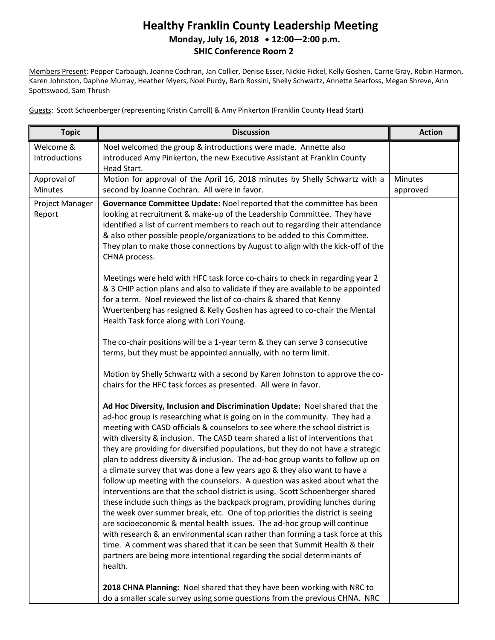#### **Healthy Franklin County Leadership Meeting Monday, July 16, 2018 12:00—2:00 p.m. SHIC Conference Room 2**

Members Present: Pepper Carbaugh, Joanne Cochran, Jan Collier, Denise Esser, Nickie Fickel, Kelly Goshen, Carrie Gray, Robin Harmon, Karen Johnston, Daphne Murray, Heather Myers, Noel Purdy, Barb Rossini, Shelly Schwartz, Annette Searfoss, Megan Shreve, Ann Spottswood, Sam Thrush

Guests: Scott Schoenberger (representing Kristin Carroll) & Amy Pinkerton (Franklin County Head Start)

| <b>Topic</b>               | <b>Discussion</b>                                                                                                                                                                                                                                                                                                                                                                                                                                                                                                                                                                                                                                                                                                                                                                                                                                                                                                                                                                                                                                                                                                                                                                                                                             | <b>Action</b>       |
|----------------------------|-----------------------------------------------------------------------------------------------------------------------------------------------------------------------------------------------------------------------------------------------------------------------------------------------------------------------------------------------------------------------------------------------------------------------------------------------------------------------------------------------------------------------------------------------------------------------------------------------------------------------------------------------------------------------------------------------------------------------------------------------------------------------------------------------------------------------------------------------------------------------------------------------------------------------------------------------------------------------------------------------------------------------------------------------------------------------------------------------------------------------------------------------------------------------------------------------------------------------------------------------|---------------------|
| Welcome &<br>Introductions | Noel welcomed the group & introductions were made. Annette also<br>introduced Amy Pinkerton, the new Executive Assistant at Franklin County<br>Head Start.                                                                                                                                                                                                                                                                                                                                                                                                                                                                                                                                                                                                                                                                                                                                                                                                                                                                                                                                                                                                                                                                                    |                     |
| Approval of<br>Minutes     | Motion for approval of the April 16, 2018 minutes by Shelly Schwartz with a<br>second by Joanne Cochran. All were in favor.                                                                                                                                                                                                                                                                                                                                                                                                                                                                                                                                                                                                                                                                                                                                                                                                                                                                                                                                                                                                                                                                                                                   | Minutes<br>approved |
| Project Manager<br>Report  | Governance Committee Update: Noel reported that the committee has been<br>looking at recruitment & make-up of the Leadership Committee. They have<br>identified a list of current members to reach out to regarding their attendance<br>& also other possible people/organizations to be added to this Committee.<br>They plan to make those connections by August to align with the kick-off of the<br>CHNA process.                                                                                                                                                                                                                                                                                                                                                                                                                                                                                                                                                                                                                                                                                                                                                                                                                         |                     |
|                            | Meetings were held with HFC task force co-chairs to check in regarding year 2<br>& 3 CHIP action plans and also to validate if they are available to be appointed<br>for a term. Noel reviewed the list of co-chairs & shared that Kenny<br>Wuertenberg has resigned & Kelly Goshen has agreed to co-chair the Mental<br>Health Task force along with Lori Young.                                                                                                                                                                                                                                                                                                                                                                                                                                                                                                                                                                                                                                                                                                                                                                                                                                                                             |                     |
|                            | The co-chair positions will be a 1-year term & they can serve 3 consecutive<br>terms, but they must be appointed annually, with no term limit.                                                                                                                                                                                                                                                                                                                                                                                                                                                                                                                                                                                                                                                                                                                                                                                                                                                                                                                                                                                                                                                                                                |                     |
|                            | Motion by Shelly Schwartz with a second by Karen Johnston to approve the co-<br>chairs for the HFC task forces as presented. All were in favor.                                                                                                                                                                                                                                                                                                                                                                                                                                                                                                                                                                                                                                                                                                                                                                                                                                                                                                                                                                                                                                                                                               |                     |
|                            | Ad Hoc Diversity, Inclusion and Discrimination Update: Noel shared that the<br>ad-hoc group is researching what is going on in the community. They had a<br>meeting with CASD officials & counselors to see where the school district is<br>with diversity & inclusion. The CASD team shared a list of interventions that<br>they are providing for diversified populations, but they do not have a strategic<br>plan to address diversity & inclusion. The ad-hoc group wants to follow up on<br>a climate survey that was done a few years ago & they also want to have a<br>follow up meeting with the counselors. A question was asked about what the<br>interventions are that the school district is using. Scott Schoenberger shared<br>these include such things as the backpack program, providing lunches during<br>the week over summer break, etc. One of top priorities the district is seeing<br>are socioeconomic & mental health issues. The ad-hoc group will continue<br>with research & an environmental scan rather than forming a task force at this<br>time. A comment was shared that it can be seen that Summit Health & their<br>partners are being more intentional regarding the social determinants of<br>health. |                     |
|                            | 2018 CHNA Planning: Noel shared that they have been working with NRC to<br>do a smaller scale survey using some questions from the previous CHNA. NRC                                                                                                                                                                                                                                                                                                                                                                                                                                                                                                                                                                                                                                                                                                                                                                                                                                                                                                                                                                                                                                                                                         |                     |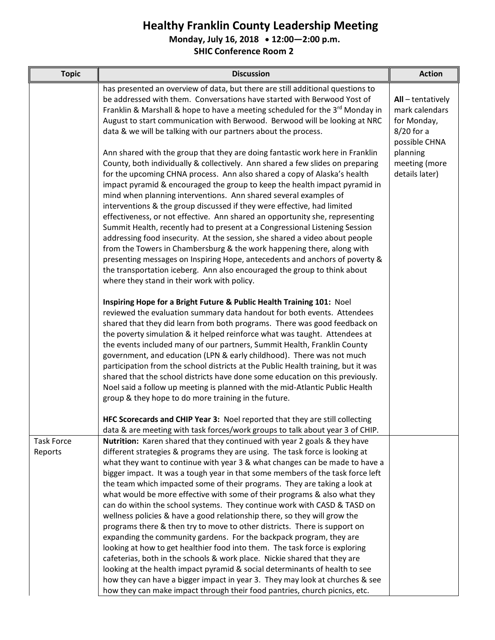**Monday, July 16, 2018 12:00—2:00 p.m.**

| <b>Topic</b>                 | <b>Discussion</b>                                                                                                                                                                                                                                                                                                                                                                                                                                                                                                                                                                                                                                                                                                                                                                                                                                                                                                                                                                                                                                                                                                                                                                                                 | <b>Action</b>                                                  |
|------------------------------|-------------------------------------------------------------------------------------------------------------------------------------------------------------------------------------------------------------------------------------------------------------------------------------------------------------------------------------------------------------------------------------------------------------------------------------------------------------------------------------------------------------------------------------------------------------------------------------------------------------------------------------------------------------------------------------------------------------------------------------------------------------------------------------------------------------------------------------------------------------------------------------------------------------------------------------------------------------------------------------------------------------------------------------------------------------------------------------------------------------------------------------------------------------------------------------------------------------------|----------------------------------------------------------------|
|                              | has presented an overview of data, but there are still additional questions to<br>be addressed with them. Conversations have started with Berwood Yost of<br>Franklin & Marshall & hope to have a meeting scheduled for the 3 <sup>rd</sup> Monday in<br>August to start communication with Berwood. Berwood will be looking at NRC<br>data & we will be talking with our partners about the process.                                                                                                                                                                                                                                                                                                                                                                                                                                                                                                                                                                                                                                                                                                                                                                                                             | All-tentatively<br>mark calendars<br>for Monday,<br>8/20 for a |
|                              | Ann shared with the group that they are doing fantastic work here in Franklin<br>County, both individually & collectively. Ann shared a few slides on preparing<br>for the upcoming CHNA process. Ann also shared a copy of Alaska's health<br>impact pyramid & encouraged the group to keep the health impact pyramid in<br>mind when planning interventions. Ann shared several examples of<br>interventions & the group discussed if they were effective, had limited<br>effectiveness, or not effective. Ann shared an opportunity she, representing<br>Summit Health, recently had to present at a Congressional Listening Session<br>addressing food insecurity. At the session, she shared a video about people<br>from the Towers in Chambersburg & the work happening there, along with<br>presenting messages on Inspiring Hope, antecedents and anchors of poverty &<br>the transportation iceberg. Ann also encouraged the group to think about<br>where they stand in their work with policy.                                                                                                                                                                                                        | possible CHNA<br>planning<br>meeting (more<br>details later)   |
|                              | Inspiring Hope for a Bright Future & Public Health Training 101: Noel<br>reviewed the evaluation summary data handout for both events. Attendees<br>shared that they did learn from both programs. There was good feedback on<br>the poverty simulation & it helped reinforce what was taught. Attendees at<br>the events included many of our partners, Summit Health, Franklin County<br>government, and education (LPN & early childhood). There was not much<br>participation from the school districts at the Public Health training, but it was<br>shared that the school districts have done some education on this previously.<br>Noel said a follow up meeting is planned with the mid-Atlantic Public Health<br>group & they hope to do more training in the future.<br>HFC Scorecards and CHIP Year 3: Noel reported that they are still collecting                                                                                                                                                                                                                                                                                                                                                    |                                                                |
|                              | data & are meeting with task forces/work groups to talk about year 3 of CHIP.                                                                                                                                                                                                                                                                                                                                                                                                                                                                                                                                                                                                                                                                                                                                                                                                                                                                                                                                                                                                                                                                                                                                     |                                                                |
| <b>Task Force</b><br>Reports | <b>Nutrition:</b> Karen shared that they continued with year 2 goals & they have<br>different strategies & programs they are using. The task force is looking at<br>what they want to continue with year 3 & what changes can be made to have a<br>bigger impact. It was a tough year in that some members of the task force left<br>the team which impacted some of their programs. They are taking a look at<br>what would be more effective with some of their programs & also what they<br>can do within the school systems. They continue work with CASD & TASD on<br>wellness policies & have a good relationship there, so they will grow the<br>programs there & then try to move to other districts. There is support on<br>expanding the community gardens. For the backpack program, they are<br>looking at how to get healthier food into them. The task force is exploring<br>cafeterias, both in the schools & work place. Nickie shared that they are<br>looking at the health impact pyramid & social determinants of health to see<br>how they can have a bigger impact in year 3. They may look at churches & see<br>how they can make impact through their food pantries, church picnics, etc. |                                                                |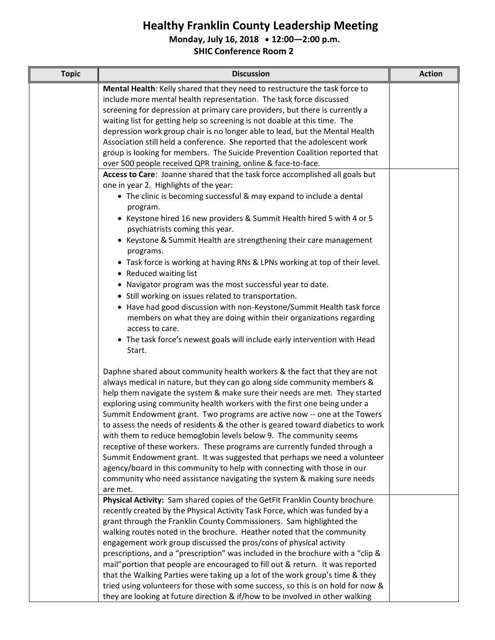**Monday, July 16, 2018 12:00—2:00 p.m.**

| <b>Topic</b> | <b>Discussion</b>                                                                                                                                                                                                                                                                                                                                                                                                                                                                                                                                                                                                                                                                                                                                                                                                                                                                             | <b>Action</b> |
|--------------|-----------------------------------------------------------------------------------------------------------------------------------------------------------------------------------------------------------------------------------------------------------------------------------------------------------------------------------------------------------------------------------------------------------------------------------------------------------------------------------------------------------------------------------------------------------------------------------------------------------------------------------------------------------------------------------------------------------------------------------------------------------------------------------------------------------------------------------------------------------------------------------------------|---------------|
|              | Mental Health: Kelly shared that they need to restructure the task force to<br>include more mental health representation. The task force discussed<br>screening for depression at primary care providers, but there is currently a<br>waiting list for getting help so screening is not doable at this time. The<br>depression work group chair is no longer able to lead, but the Mental Health<br>Association still held a conference. She reported that the adolescent work<br>group is looking for members. The Suicide Prevention Coalition reported that                                                                                                                                                                                                                                                                                                                                |               |
|              | over 500 people received QPR training, online & face-to-face.                                                                                                                                                                                                                                                                                                                                                                                                                                                                                                                                                                                                                                                                                                                                                                                                                                 |               |
|              | Access to Care: Joanne shared that the task force accomplished all goals but<br>one in year 2. Highlights of the year:<br>• The clinic is becoming successful & may expand to include a dental<br>program.<br>• Keystone hired 16 new providers & Summit Health hired 5 with 4 or 5<br>psychiatrists coming this year.<br>• Keystone & Summit Health are strengthening their care management<br>programs.<br>• Task force is working at having RNs & LPNs working at top of their level.<br>• Reduced waiting list<br>• Navigator program was the most successful year to date.<br>• Still working on issues related to transportation.<br>• Have had good discussion with non-Keystone/Summit Health task force<br>members on what they are doing within their organizations regarding<br>access to care.<br>• The task force's newest goals will include early intervention with Head       |               |
|              | Start.<br>Daphne shared about community health workers & the fact that they are not<br>always medical in nature, but they can go along side community members &<br>help them navigate the system & make sure their needs are met. They started<br>exploring using community health workers with the first one being under a<br>Summit Endowment grant. Two programs are active now -- one at the Towers<br>to assess the needs of residents & the other is geared toward diabetics to work<br>with them to reduce hemoglobin levels below 9. The community seems<br>receptive of these workers. These programs are currently funded through a<br>Summit Endowment grant. It was suggested that perhaps we need a volunteer<br>agency/board in this community to help with connecting with those in our<br>community who need assistance navigating the system & making sure needs<br>are met. |               |
|              | Physical Activity: Sam shared copies of the GetFit Franklin County brochure<br>recently created by the Physical Activity Task Force, which was funded by a<br>grant through the Franklin County Commissioners. Sam highlighted the<br>walking routes noted in the brochure. Heather noted that the community<br>engagement work group discussed the pros/cons of physical activity<br>prescriptions, and a "prescription" was included in the brochure with a "clip &<br>mail" portion that people are encouraged to fill out & return. It was reported<br>that the Walking Parties were taking up a lot of the work group's time & they<br>tried using volunteers for those with some success, so this is on hold for now &<br>they are looking at future direction & if/how to be involved in other walking                                                                                 |               |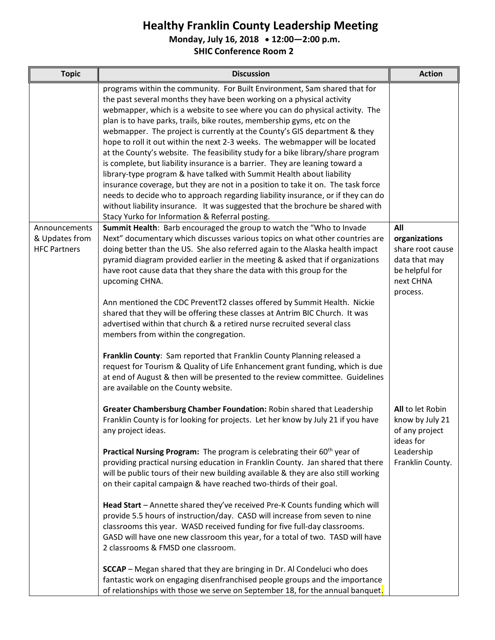**Monday, July 16, 2018 12:00—2:00 p.m.**

| <b>Topic</b>                                           | <b>Discussion</b>                                                                                                                                                                                                                                                                                                                                                                                                                                                                                                                                                                                                                                                                                                                                                                                                                                                                                                                                                                                                                                                                                                                                    | <b>Action</b>                                                                                        |
|--------------------------------------------------------|------------------------------------------------------------------------------------------------------------------------------------------------------------------------------------------------------------------------------------------------------------------------------------------------------------------------------------------------------------------------------------------------------------------------------------------------------------------------------------------------------------------------------------------------------------------------------------------------------------------------------------------------------------------------------------------------------------------------------------------------------------------------------------------------------------------------------------------------------------------------------------------------------------------------------------------------------------------------------------------------------------------------------------------------------------------------------------------------------------------------------------------------------|------------------------------------------------------------------------------------------------------|
|                                                        | programs within the community. For Built Environment, Sam shared that for<br>the past several months they have been working on a physical activity<br>webmapper, which is a website to see where you can do physical activity. The<br>plan is to have parks, trails, bike routes, membership gyms, etc on the<br>webmapper. The project is currently at the County's GIS department & they<br>hope to roll it out within the next 2-3 weeks. The webmapper will be located<br>at the County's website. The feasibility study for a bike library/share program<br>is complete, but liability insurance is a barrier. They are leaning toward a<br>library-type program & have talked with Summit Health about liability<br>insurance coverage, but they are not in a position to take it on. The task force<br>needs to decide who to approach regarding liability insurance, or if they can do<br>without liability insurance. It was suggested that the brochure be shared with<br>Stacy Yurko for Information & Referral posting.                                                                                                                  |                                                                                                      |
| Announcements<br>& Updates from<br><b>HFC Partners</b> | Summit Health: Barb encouraged the group to watch the "Who to Invade<br>Next" documentary which discusses various topics on what other countries are<br>doing better than the US. She also referred again to the Alaska health impact<br>pyramid diagram provided earlier in the meeting & asked that if organizations<br>have root cause data that they share the data with this group for the<br>upcoming CHNA.<br>Ann mentioned the CDC PreventT2 classes offered by Summit Health. Nickie<br>shared that they will be offering these classes at Antrim BIC Church. It was<br>advertised within that church & a retired nurse recruited several class<br>members from within the congregation.<br>Franklin County: Sam reported that Franklin County Planning released a<br>request for Tourism & Quality of Life Enhancement grant funding, which is due<br>at end of August & then will be presented to the review committee. Guidelines<br>are available on the County website.                                                                                                                                                                | All<br>organizations<br>share root cause<br>data that may<br>be helpful for<br>next CHNA<br>process. |
|                                                        | Greater Chambersburg Chamber Foundation: Robin shared that Leadership<br>Franklin County is for looking for projects. Let her know by July 21 if you have<br>any project ideas.<br><b>Practical Nursing Program:</b> The program is celebrating their 60 <sup>th</sup> year of<br>providing practical nursing education in Franklin County. Jan shared that there<br>will be public tours of their new building available & they are also still working<br>on their capital campaign & have reached two-thirds of their goal.<br>Head Start - Annette shared they've received Pre-K Counts funding which will<br>provide 5.5 hours of instruction/day. CASD will increase from seven to nine<br>classrooms this year. WASD received funding for five full-day classrooms.<br>GASD will have one new classroom this year, for a total of two. TASD will have<br>2 classrooms & FMSD one classroom.<br><b>SCCAP</b> - Megan shared that they are bringing in Dr. Al Condeluci who does<br>fantastic work on engaging disenfranchised people groups and the importance<br>of relationships with those we serve on September 18, for the annual banquet. | All to let Robin<br>know by July 21<br>of any project<br>ideas for<br>Leadership<br>Franklin County. |